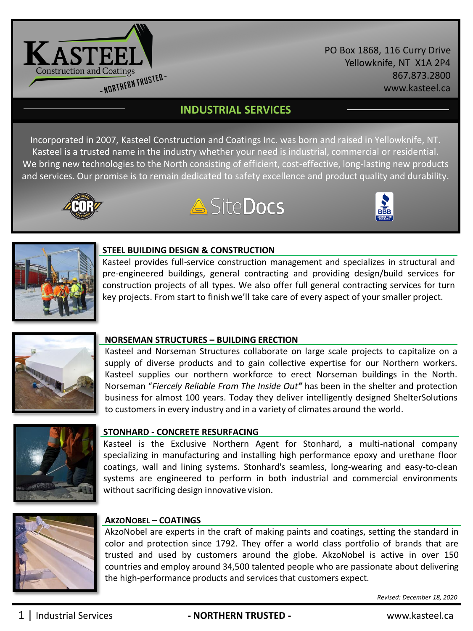

PO Box 1868, 116 Curry Drive Yellowknife, NT X1A 2P4 867.873.2800 www.kasteel.ca

# **INDUSTRIAL SERVICES**

Incorporated in 2007, Kasteel Construction and Coatings Inc. was born and raised in Yellowknife, NT. Kasteel is a trusted name in the industry whether your need is industrial, commercial or residential. We bring new technologies to the North consisting of efficient, cost-effective, long-lasting new products and services. Our promise is to remain dedicated to safety excellence and product quality and durability.



# **A** SiteDocs





#### **STEEL BUILDING DESIGN & CONSTRUCTION**

Kasteel provides full-service construction management and specializes in structural and pre-engineered buildings, general contracting and providing design/build services for construction projects of all types. We also offer full general contracting services for turn key projects. From start to finish we'll take care of every aspect of your smaller project.



## **NORSEMAN STRUCTURES – BUILDING ERECTION**

Kasteel and Norseman Structures collaborate on large scale projects to capitalize on a supply of diverse products and to gain collective expertise for our Northern workers. Kasteel supplies our northern workforce to erect Norseman buildings in the North. Norseman "*Fiercely Reliable From The Inside Out"* has been in the shelter and protection business for almost 100 years. Today they deliver intelligently designed ShelterSolutions to customers in every industry and in a variety of climates around the world.



## **STONHARD - CONCRETE RESURFACING**

Kasteel is the Exclusive Northern Agent for Stonhard, a multi-national company specializing in manufacturing and installing high performance epoxy and urethane floor coatings, wall and lining systems. Stonhard's seamless, long-wearing and easy-to-clean systems are engineered to perform in both industrial and commercial environments without sacrificing design innovative vision.



# **AKZONOBEL – COATINGS**

AkzoNobel are experts in the craft of making paints and coatings, setting the standard in color and protection since 1792. They offer a world class portfolio of brands that are trusted and used by customers around the globe. AkzoNobel is active in over 150 countries and employ around 34,500 talented people who are passionate about delivering the high-performance products and services that customers expect.

*Revised: December 18, 2020*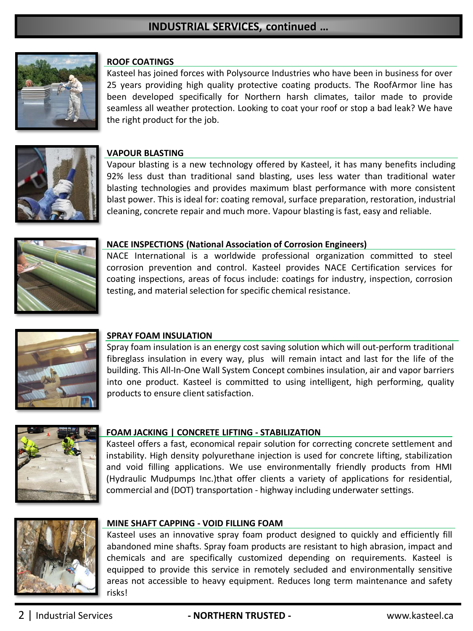# **INDUSTRIAL SERVICES, continued …**



## **ROOF COATINGS**

Kasteel has joined forces with Polysource Industries who have been in business for over 25 years providing high quality protective coating products. The RoofArmor line has been developed specifically for Northern harsh climates, tailor made to provide seamless all weather protection. Looking to coat your roof or stop a bad leak? We have the right product for the job.



#### **VAPOUR BLASTING**

Vapour blasting is a new technology offered by Kasteel, it has many benefits including 92% less dust than traditional sand blasting, uses less water than traditional water blasting technologies and provides maximum blast performance with more consistent blast power. This is ideal for: coating removal, surface preparation, restoration, industrial cleaning, concrete repair and much more. Vapour blasting is fast, easy and reliable.



#### **NACE INSPECTIONS (National Association of Corrosion Engineers)**

NACE International is a worldwide professional organization committed to steel corrosion prevention and control. Kasteel provides NACE Certification services for coating inspections, areas of focus include: coatings for industry, inspection, corrosion testing, and material selection for specific chemical resistance.



#### **SPRAY FOAM INSULATION**

Spray foam insulation is an energy cost saving solution which will out-perform traditional fibreglass insulation in every way, plus will remain intact and last for the life of the building. This All-In-One Wall System Concept combines insulation, air and vapor barriers into one product. Kasteel is committed to using intelligent, high performing, quality products to ensure client satisfaction.



#### **FOAM JACKING | CONCRETE LIFTING - STABILIZATION**

Kasteel offers a fast, economical repair solution for correcting concrete settlement and instability. High density polyurethane injection is used for concrete lifting, stabilization and void filling applications. We use environmentally friendly products from HMI (Hydraulic Mudpumps Inc.)that offer clients a variety of applications for residential, commercial and (DOT) transportation - highway including underwater settings.



#### **MINE SHAFT CAPPING - VOID FILLING FOAM**

Kasteel uses an innovative spray foam product designed to quickly and efficiently fill abandoned mine shafts. Spray foam products are resistant to high abrasion, impact and chemicals and are specifically customized depending on requirements. Kasteel is equipped to provide this service in remotely secluded and environmentally sensitive areas not accessible to heavy equipment. Reduces long term maintenance and safety risks!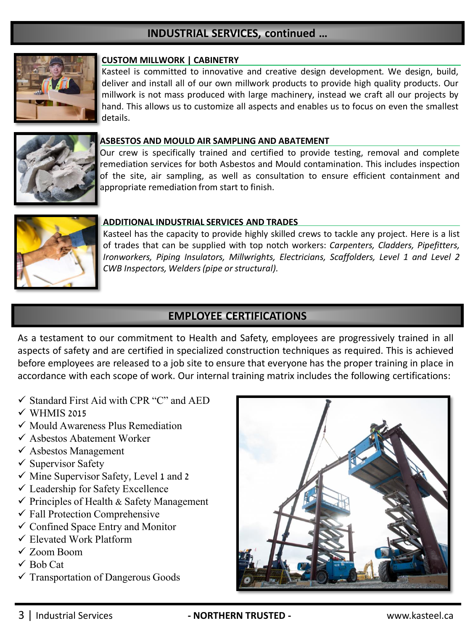# **INDUSTRIAL SERVICES, continued …**



#### **CUSTOM MILLWORK | CABINETRY**

Kasteel is committed to innovative and creative design development. We design, build, deliver and install all of our own millwork products to provide high quality products. Our millwork is not mass produced with large machinery, instead we craft all our projects by hand. This allows us to customize all aspects and enables us to focus on even the smallest details.



#### **ASBESTOS AND MOULD AIR SAMPLING AND ABATEMENT**

Our crew is specifically trained and certified to provide testing, removal and complete remediation services for both Asbestos and Mould contamination. This includes inspection of the site, air sampling, as well as consultation to ensure efficient containment and appropriate remediation from start to finish.



#### **ADDITIONAL INDUSTRIAL SERVICES AND TRADES**

Kasteel has the capacity to provide highly skilled crews to tackle any project. Here is a list of trades that can be supplied with top notch workers: *Carpenters, Cladders, Pipefitters, Ironworkers, Piping Insulators, Millwrights, Electricians, Scaffolders, Level 1 and Level 2 CWB Inspectors, Welders(pipe or structural).*

# **EMPLOYEE CERTIFICATIONS**

As a testament to our commitment to Health and Safety, employees are progressively trained in all aspects of safety and are certified in specialized construction techniques as required. This is achieved before employees are released to a job site to ensure that everyone has the proper training in place in accordance with each scope of work. Our internal training matrix includes the following certifications:

- $\checkmark$  Standard First Aid with CPR "C" and AED
- $\checkmark$  WHMIS 2015
- ✓ Mould Awareness Plus Remediation
- ✓ Asbestos Abatement Worker
- $\checkmark$  Asbestos Management
- $\checkmark$  Supervisor Safety
- ✓ Mine Supervisor Safety, Level 1 and 2
- $\checkmark$  Leadership for Safety Excellence
- $\checkmark$  Principles of Health & Safety Management
- $\checkmark$  Fall Protection Comprehensive
- $\checkmark$  Confined Space Entry and Monitor
- ✓ Elevated Work Platform
- ✓ Zoom Boom
- $\checkmark$  Bob Cat
- $\checkmark$  Transportation of Dangerous Goods



## 3 | Industrial Services **- NORTHERN TRUSTED -** www.kasteel.ca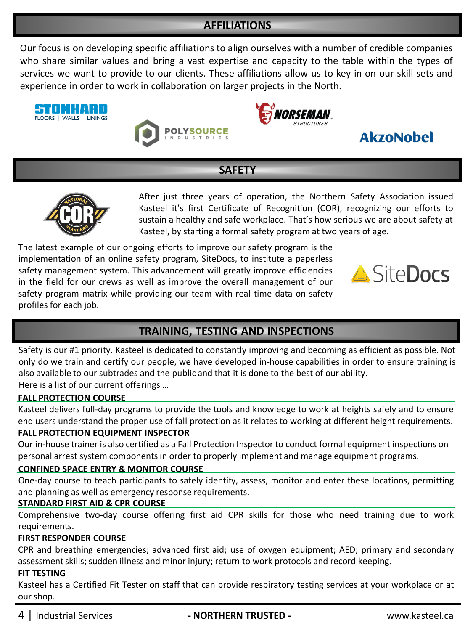# **AFFILIATIONS**

Our focus is on developing specific affiliations to align ourselves with a number of credible companies who share similar values and bring a vast expertise and capacity to the table within the types of services we want to provide to our clients. These affiliations allow us to key in on our skill sets and experience in order to work in collaboration on larger projects in the North.









# **SAFETY**



After just three years of operation, the Northern Safety Association issued Kasteel it's first Certificate of Recognition (COR), recognizing our efforts to sustain a healthy and safe workplace. That's how serious we are about safety at Kasteel, by starting a formal safety program at two years of age.

The latest example of our ongoing efforts to improve our safety program is the implementation of an online safety program, SiteDocs, to institute a paperless safety management system. This advancement will greatly improve efficiencies in the field for our crews as well as improve the overall management of our safety program matrix while providing our team with real time data on safety profiles for each job.



# **TRAINING, TESTING AND INSPECTIONS**

Safety is our #1 priority. Kasteel is dedicated to constantly improving and becoming as efficient as possible. Not only do we train and certify our people, we have developed in-house capabilities in order to ensure training is also available to our subtrades and the public and that it is done to the best of our ability. Here is a list of our current offerings …

## **FALL PROTECTION COURSE**

Kasteel delivers full-day programs to provide the tools and knowledge to work at heights safely and to ensure end users understand the proper use of fall protection as it relates to working at different height requirements. **FALL PROTECTION EQUIPMENT INSPECTOR**

Our in-house trainer is also certified as a Fall Protection Inspector to conduct formal equipment inspections on personal arrest system components in order to properly implement and manage equipment programs.

## **CONFINED SPACE ENTRY & MONITOR COURSE**

One-day course to teach participants to safely identify, assess, monitor and enter these locations, permitting and planning as well as emergency response requirements.

## **STANDARD FIRST AID & CPR COURSE**

Comprehensive two-day course offering first aid CPR skills for those who need training due to work requirements.

## **FIRST RESPONDER COURSE**

CPR and breathing emergencies; advanced first aid; use of oxygen equipment; AED; primary and secondary assessment skills; sudden illness and minor injury; return to work protocols and record keeping.

#### **FIT TESTING**

Kasteel has a Certified Fit Tester on staff that can provide respiratory testing services at your workplace or at our shop.